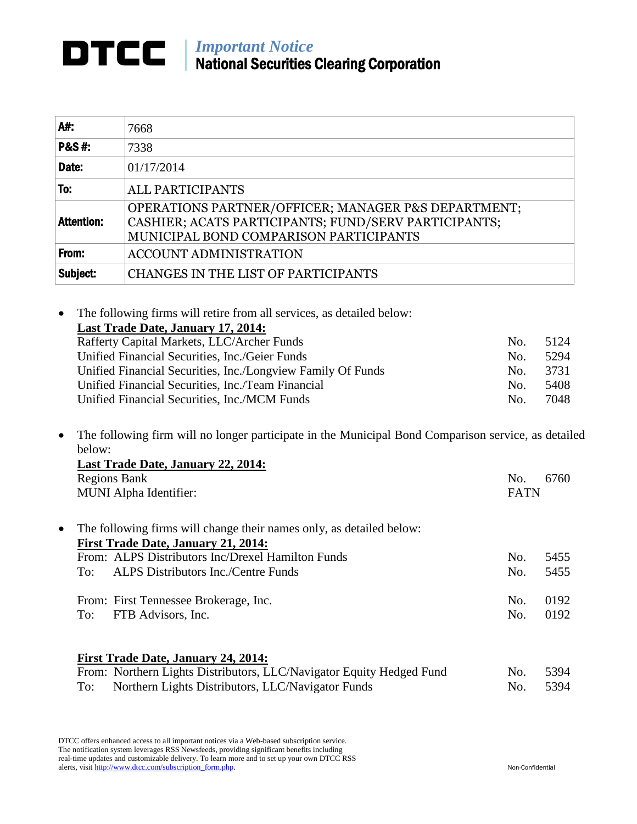## *Important Notice* National Securities Clearing Corporation

| A#:               | 7668                                                                                                                                                  |
|-------------------|-------------------------------------------------------------------------------------------------------------------------------------------------------|
| <b>P&amp;S#:</b>  | 7338                                                                                                                                                  |
| Date:             | 01/17/2014                                                                                                                                            |
| To:               | <b>ALL PARTICIPANTS</b>                                                                                                                               |
| <b>Attention:</b> | OPERATIONS PARTNER/OFFICER; MANAGER P&S DEPARTMENT;<br>CASHIER; ACATS PARTICIPANTS; FUND/SERV PARTICIPANTS;<br>MUNICIPAL BOND COMPARISON PARTICIPANTS |
| From:             | ACCOUNT ADMINISTRATION                                                                                                                                |
| Subject:          | <b>CHANGES IN THE LIST OF PARTICIPANTS</b>                                                                                                            |

| • The following firms will retire from all services, as detailed below: |     |      |
|-------------------------------------------------------------------------|-----|------|
| <b>Last Trade Date, January 17, 2014:</b>                               |     |      |
| Rafferty Capital Markets, LLC/Archer Funds                              | No. | 5124 |
| Unified Financial Securities, Inc./Geier Funds                          | No. | 5294 |
| Unified Financial Securities, Inc./Longview Family Of Funds             | No. | 3731 |
| Unified Financial Securities, Inc./Team Financial                       | No. | 5408 |
| Unified Financial Securities, Inc./MCM Funds                            | No. | 7048 |
|                                                                         |     |      |

 The following firm will no longer participate in the Municipal Bond Comparison service, as detailed below:

|           | <b>Last Trade Date, January 22, 2014:</b>                            |             |      |
|-----------|----------------------------------------------------------------------|-------------|------|
|           | <b>Regions Bank</b>                                                  | No.         | 6760 |
|           | <b>MUNI</b> Alpha Identifier:                                        | <b>FATN</b> |      |
| $\bullet$ | The following firms will change their names only, as detailed below: |             |      |
|           | <b>First Trade Date, January 21, 2014:</b>                           |             |      |
|           | From: ALPS Distributors Inc/Drexel Hamilton Funds                    | No.         | 5455 |
|           | ALPS Distributors Inc./Centre Funds<br>To: '                         | No.         | 5455 |
|           | From: First Tennessee Brokerage, Inc.                                | No.         | 0192 |
|           | FTB Advisors, Inc.<br>To:                                            | No.         | 0192 |
|           |                                                                      |             |      |
|           | <b>First Trade Date, January 24, 2014:</b>                           |             |      |
|           | From: Northern Lights Distributors, LLC/Navigator Equity Hedged Fund | No.         | 5394 |

To: Northern Lights Distributors, LLC/Navigator Funds No. 5394

DTCC offers enhanced access to all important notices via a Web-based subscription service. The notification system leverages RSS Newsfeeds, providing significant benefits including real-time updates and customizable delivery. To learn more and to set up your own DTCC RSS alerts, visit http://www.dtcc.com/subscription\_form.php. Non-Confidential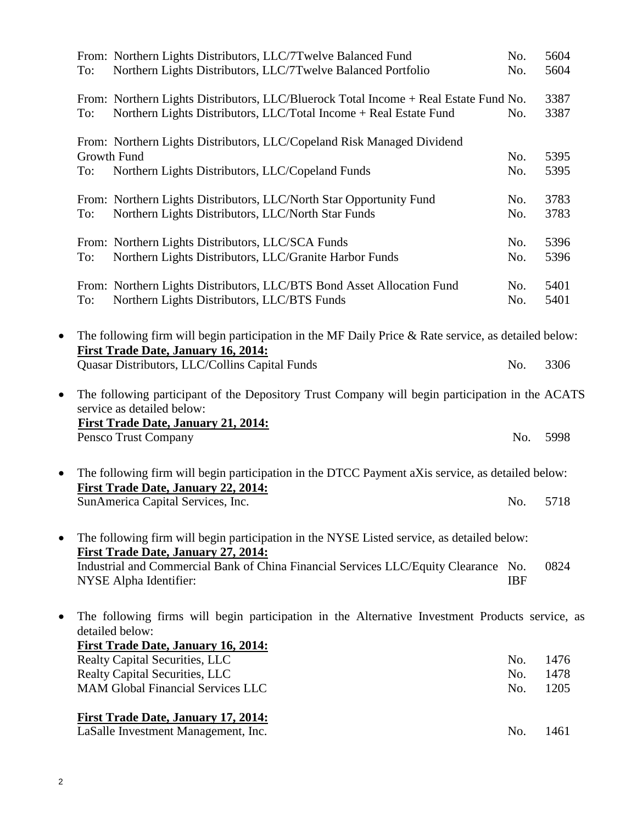|           | From: Northern Lights Distributors, LLC/7Twelve Balanced Fund                                                                                      | No.        | 5604         |
|-----------|----------------------------------------------------------------------------------------------------------------------------------------------------|------------|--------------|
|           | Northern Lights Distributors, LLC/7Twelve Balanced Portfolio<br>To:                                                                                | No.        | 5604         |
|           | From: Northern Lights Distributors, LLC/Bluerock Total Income + Real Estate Fund No.                                                               |            | 3387         |
|           | Northern Lights Distributors, LLC/Total Income + Real Estate Fund<br>To:                                                                           | No.        | 3387         |
|           | From: Northern Lights Distributors, LLC/Copeland Risk Managed Dividend                                                                             |            |              |
|           | Growth Fund                                                                                                                                        | No.        | 5395         |
|           | Northern Lights Distributors, LLC/Copeland Funds<br>To:                                                                                            | No.        | 5395         |
|           | From: Northern Lights Distributors, LLC/North Star Opportunity Fund                                                                                | No.        | 3783         |
|           | Northern Lights Distributors, LLC/North Star Funds<br>To:                                                                                          | No.        | 3783         |
|           | From: Northern Lights Distributors, LLC/SCA Funds                                                                                                  | No.        | 5396         |
|           | Northern Lights Distributors, LLC/Granite Harbor Funds<br>To:                                                                                      | No.        | 5396         |
|           | From: Northern Lights Distributors, LLC/BTS Bond Asset Allocation Fund                                                                             | No.        | 5401         |
|           | Northern Lights Distributors, LLC/BTS Funds<br>To:                                                                                                 | No.        | 5401         |
| $\bullet$ | The following firm will begin participation in the MF Daily Price & Rate service, as detailed below:<br><b>First Trade Date, January 16, 2014:</b> |            |              |
|           | Quasar Distributors, LLC/Collins Capital Funds                                                                                                     | No.        | 3306         |
| $\bullet$ | The following participant of the Depository Trust Company will begin participation in the ACATS<br>service as detailed below:                      |            |              |
|           | <b>First Trade Date, January 21, 2014:</b>                                                                                                         |            |              |
|           | Pensco Trust Company                                                                                                                               | No.        | 5998         |
| $\bullet$ | The following firm will begin participation in the DTCC Payment aXis service, as detailed below:<br><b>First Trade Date, January 22, 2014:</b>     |            |              |
|           | SunAmerica Capital Services, Inc.                                                                                                                  | No.        | 5718         |
| $\bullet$ | The following firm will begin participation in the NYSE Listed service, as detailed below:<br><b>First Trade Date, January 27, 2014:</b>           |            |              |
|           | Industrial and Commercial Bank of China Financial Services LLC/Equity Clearance No.<br>NYSE Alpha Identifier:                                      | <b>IBF</b> | 0824         |
| $\bullet$ | The following firms will begin participation in the Alternative Investment Products service, as<br>detailed below:                                 |            |              |
|           | <b>First Trade Date, January 16, 2014:</b>                                                                                                         |            |              |
|           | Realty Capital Securities, LLC<br><b>Realty Capital Securities, LLC</b>                                                                            | No.<br>No. | 1476<br>1478 |
|           | <b>MAM Global Financial Services LLC</b>                                                                                                           | No.        | 1205         |
|           |                                                                                                                                                    |            |              |
|           | <b>First Trade Date, January 17, 2014:</b>                                                                                                         |            |              |

LaSalle Investment Management, Inc. 1461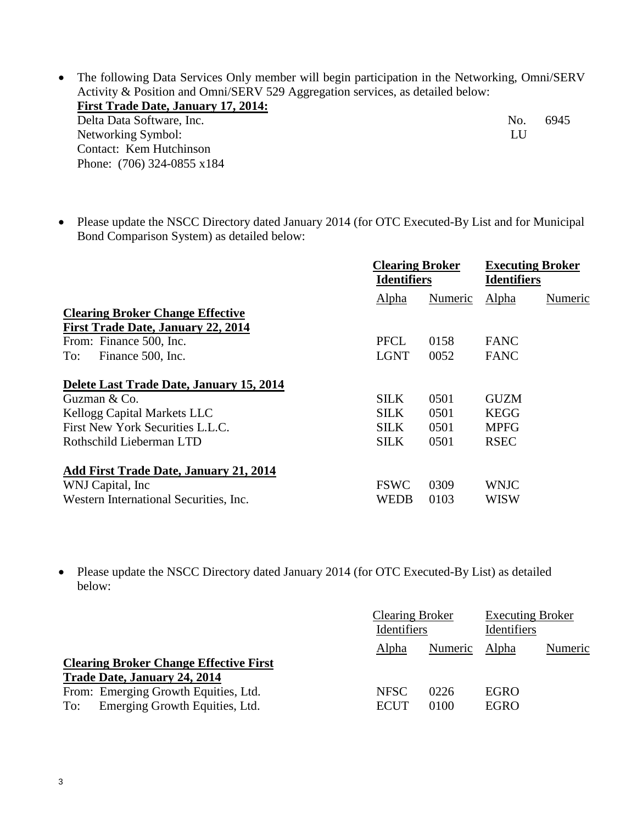• The following Data Services Only member will begin participation in the Networking, Omni/SERV Activity & Position and Omni/SERV 529 Aggregation services, as detailed below: **First Trade Date, January 17, 2014:**

Delta Data Software, Inc. 6945 Networking Symbol: LU Contact: Kem Hutchinson Phone: (706) 324-0855 x184

 Please update the NSCC Directory dated January 2014 (for OTC Executed-By List and for Municipal Bond Comparison System) as detailed below:

|                                               | <b>Clearing Broker</b><br><b>Identifiers</b> |         | <b>Executing Broker</b><br><b>Identifiers</b> |         |
|-----------------------------------------------|----------------------------------------------|---------|-----------------------------------------------|---------|
|                                               | Alpha                                        | Numeric | Alpha                                         | Numeric |
| <b>Clearing Broker Change Effective</b>       |                                              |         |                                               |         |
| <b>First Trade Date, January 22, 2014</b>     |                                              |         |                                               |         |
| From: Finance 500, Inc.                       | <b>PFCL</b>                                  | 0158    | <b>FANC</b>                                   |         |
| To:<br>Finance 500, Inc.                      | <b>LGNT</b>                                  | 0052    | <b>FANC</b>                                   |         |
| Delete Last Trade Date, January 15, 2014      |                                              |         |                                               |         |
| Guzman & Co.                                  | <b>SILK</b>                                  | 0501    | <b>GUZM</b>                                   |         |
| Kellogg Capital Markets LLC                   | <b>SILK</b>                                  | 0501    | <b>KEGG</b>                                   |         |
| First New York Securities L.L.C.              | <b>SILK</b>                                  | 0501    | <b>MPFG</b>                                   |         |
| Rothschild Lieberman LTD                      | <b>SILK</b>                                  | 0501    | <b>RSEC</b>                                   |         |
| <b>Add First Trade Date, January 21, 2014</b> |                                              |         |                                               |         |
| WNJ Capital, Inc.                             | <b>FSWC</b>                                  | 0309    | <b>WNJC</b>                                   |         |
| Western International Securities, Inc.        | WEDB                                         | 0103    | WISW                                          |         |

• Please update the NSCC Directory dated January 2014 (for OTC Executed-By List) as detailed below:

|     |                                                                      |             | <b>Clearing Broker</b><br>Identifiers |             | <b>Executing Broker</b><br>Identifiers |  |
|-----|----------------------------------------------------------------------|-------------|---------------------------------------|-------------|----------------------------------------|--|
|     |                                                                      | Alpha       | Numeric                               | Alpha       | Numeric                                |  |
|     | <b>Clearing Broker Change Effective First</b>                        |             |                                       |             |                                        |  |
|     | Trade Date, January 24, 2014<br>From: Emerging Growth Equities, Ltd. | <b>NFSC</b> | 0226                                  | <b>EGRO</b> |                                        |  |
| To: | Emerging Growth Equities, Ltd.                                       | <b>ECUT</b> | 0100                                  | <b>EGRO</b> |                                        |  |